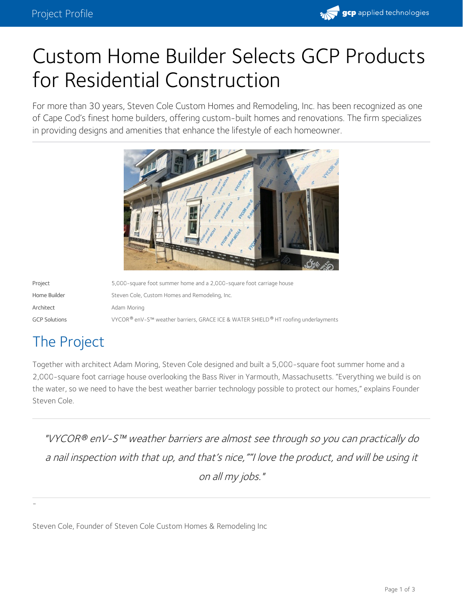

# Custom Home Builder Selects GCP Products for Residential Construction

For more than 30 years, Steven Cole Custom Homes and Remodeling, Inc. has been recognized as one of Cape Cod's finest home builders, offering custom-built homes and renovations. The firm specializes in providing designs and amenities that enhance the lifestyle of each homeowner.



| Project              | 5,000-square foot summer home and a 2,000-square foot carriage house               |
|----------------------|------------------------------------------------------------------------------------|
| Home Builder         | Steven Cole, Custom Homes and Remodeling, Inc.                                     |
| Architect            | Adam Moring                                                                        |
| <b>GCP Solutions</b> | VYCOR® enV-S™ weather barriers, GRACE ICE & WATER SHIELD® HT roofing underlayments |

# The Project

-

Together with architect Adam Moring, Steven Cole designed and built a 5,000-square foot summer home and a 2,000-square foot carriage house overlooking the Bass River in Yarmouth, Massachusetts. "Everything we build is on the water, so we need to have the best weather barrier technology possible to protect our homes," explains Founder Steven Cole.

"VYCOR enV-S™ weather barriers are almost see through so you can practically do *®* <sup>a</sup> nail inspection with that up, and that's nice,""I love the product, and will be using it on all my jobs."

Steven Cole, Founder of Steven Cole Custom Homes & Remodeling Inc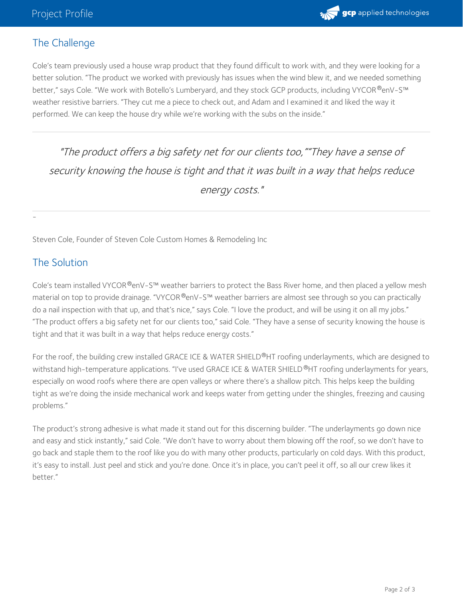

## The Challenge

Cole's team previously used a house wrap product that they found difficult to work with, and they were looking for a better solution. "The product we worked with previously has issues when the wind blew it, and we needed something better," says Cole. "We work with Botello's [Lumberyard,](https://gcpat.com/en/solutions/products/vycor-weather-barrier-flashing-tapes/vycor-env-s-weather-resistive-barrier) and they stock GCP products, including VYCOR $^\circledR$ enV-S™  $\,$ weather resistive barriers. "They cut me a piece to check out, and Adam and I examined it and liked the way it performed. We can keep the house dry while we're working with the subs on the inside."

"The product offers <sup>a</sup> big safety net for our clients too,""They have <sup>a</sup> sense of security knowing the house is tight and that it was built in <sup>a</sup> way that helps reduce energy costs."

Steven Cole, Founder of Steven Cole Custom Homes & Remodeling Inc

### The Solution

-

Cole's team installed VYCOR®enV-S™ [weather](https://gcpat.com/en/solutions/products/vycor-weather-barrier-flashing-tapes/vycor-env-s-weather-resistive-barrier) barriers to protect the Bass River home, and then placed a yellow mesh material on top to provide drainage. "VYCOR®enV-S™ weather barriers are almost see through so you can practically do a nail inspection with that up, and that's nice," says Cole. "I love the product, and will be using it on all my jobs." "The product offers a big safety net for our clients too," said Cole. "They have a sense of security knowing the house is tight and that it was built in a way that helps reduce energy costs."

For the roof, the building crew installed GRACE ICE & WATER SHIELD®HT roofing underlayments, which are designed to withstand high-temperature applications. "I've used GRACE ICE & WATER SHIELD ®HT roofing underlayments for years, especially on wood roofs where there are open valleys or where there's a shallow pitch. This helps keep the building tight as we're doing the inside mechanical work and keeps water from getting under the shingles, freezing and causing problems."

The product's strong adhesive is what made it stand out for this discerning builder. "The underlayments go down nice and easy and stick instantly," said Cole. "We don't have to worry about them blowing off the roof, so we don't have to go back and staple them to the roof like you do with many other products, particularly on cold days. With this product, it's easy to install. Just peel and stick and you're done. Once it's in place, you can't peel it off, so all our crew likes it better."